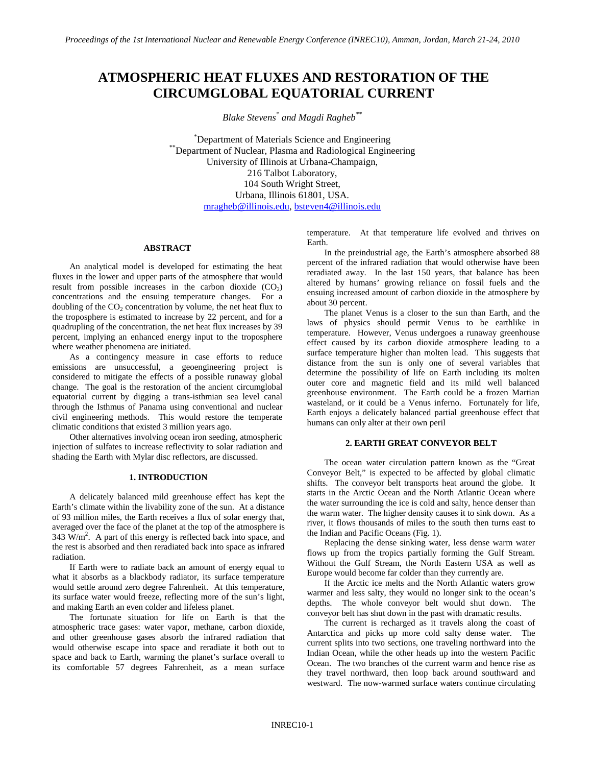# **ATMOSPHERIC HEAT FLUXES AND RESTORATION OF THE CIRCUMGLOBAL EQUATORIAL CURRENT**

*Blake Stevens\* and Magdi Ragheb\*\**

\*Department of Materials Science and Engineering \*\*Department of Nuclear, Plasma and Radiological Engineering University of Illinois at Urbana-Champaign, 216 Talbot Laboratory, 104 South Wright Street, Urbana, Illinois 61801, USA. [mragheb@illinois.edu,](mailto:mragheb@illinois.edu) [bsteven4@illinois.edu](mailto:bsteven4@illinois.edu)

# **ABSTRACT**

An analytical model is developed for estimating the heat fluxes in the lower and upper parts of the atmosphere that would result from possible increases in the carbon dioxide  $(CO<sub>2</sub>)$ concentrations and the ensuing temperature changes. For a doubling of the  $CO<sub>2</sub>$  concentration by volume, the net heat flux to the troposphere is estimated to increase by 22 percent, and for a quadrupling of the concentration, the net heat flux increases by 39 percent, implying an enhanced energy input to the troposphere where weather phenomena are initiated.

As a contingency measure in case efforts to reduce emissions are unsuccessful, a geoengineering project is considered to mitigate the effects of a possible runaway global change. The goal is the restoration of the ancient circumglobal equatorial current by digging a trans-isthmian sea level canal through the Isthmus of Panama using conventional and nuclear civil engineering methods. This would restore the temperate climatic conditions that existed 3 million years ago.

Other alternatives involving ocean iron seeding, atmospheric injection of sulfates to increase reflectivity to solar radiation and shading the Earth with Mylar disc reflectors, are discussed.

## **1. INTRODUCTION**

A delicately balanced mild greenhouse effect has kept the Earth's climate within the livability zone of the sun. At a distance of 93 million miles, the Earth receives a flux of solar energy that, averaged over the face of the planet at the top of the atmosphere is  $343 \text{ W/m}^2$ . A part of this energy is reflected back into space, and the rest is absorbed and then reradiated back into space as infrared radiation.

If Earth were to radiate back an amount of energy equal to what it absorbs as a blackbody radiator, its surface temperature would settle around zero degree Fahrenheit. At this temperature, its surface water would freeze, reflecting more of the sun's light, and making Earth an even colder and lifeless planet.

The fortunate situation for life on Earth is that the atmospheric trace gases: water vapor, methane, carbon dioxide, and other greenhouse gases absorb the infrared radiation that would otherwise escape into space and reradiate it both out to space and back to Earth, warming the planet's surface overall to its comfortable 57 degrees Fahrenheit, as a mean surface

temperature. At that temperature life evolved and thrives on Earth.

In the preindustrial age, the Earth's atmosphere absorbed 88 percent of the infrared radiation that would otherwise have been reradiated away. In the last 150 years, that balance has been altered by humans' growing reliance on fossil fuels and the ensuing increased amount of carbon dioxide in the atmosphere by about 30 percent.

The planet Venus is a closer to the sun than Earth, and the laws of physics should permit Venus to be earthlike in temperature. However, Venus undergoes a runaway greenhouse effect caused by its carbon dioxide atmosphere leading to a surface temperature higher than molten lead. This suggests that distance from the sun is only one of several variables that determine the possibility of life on Earth including its molten outer core and magnetic field and its mild well balanced greenhouse environment. The Earth could be a frozen Martian wasteland, or it could be a Venus inferno. Fortunately for life, Earth enjoys a delicately balanced partial greenhouse effect that humans can only alter at their own peril

## **2. EARTH GREAT CONVEYOR BELT**

The ocean water circulation pattern known as the "Great Conveyor Belt," is expected to be affected by global climatic shifts. The conveyor belt transports heat around the globe. It starts in the Arctic Ocean and the North Atlantic Ocean where the water surrounding the ice is cold and salty, hence denser than the warm water. The higher density causes it to sink down. As a river, it flows thousands of miles to the south then turns east to the Indian and Pacific Oceans (Fig. 1).

Replacing the dense sinking water, less dense warm water flows up from the tropics partially forming the Gulf Stream. Without the Gulf Stream, the North Eastern USA as well as Europe would become far colder than they currently are.

If the Arctic ice melts and the North Atlantic waters grow warmer and less salty, they would no longer sink to the ocean's depths. The whole conveyor belt would shut down. The conveyor belt has shut down in the past with dramatic results.

The current is recharged as it travels along the coast of Antarctica and picks up more cold salty dense water. The current splits into two sections, one traveling northward into the Indian Ocean, while the other heads up into the western Pacific Ocean. The two branches of the current warm and hence rise as they travel northward, then loop back around southward and westward. The now-warmed surface waters continue circulating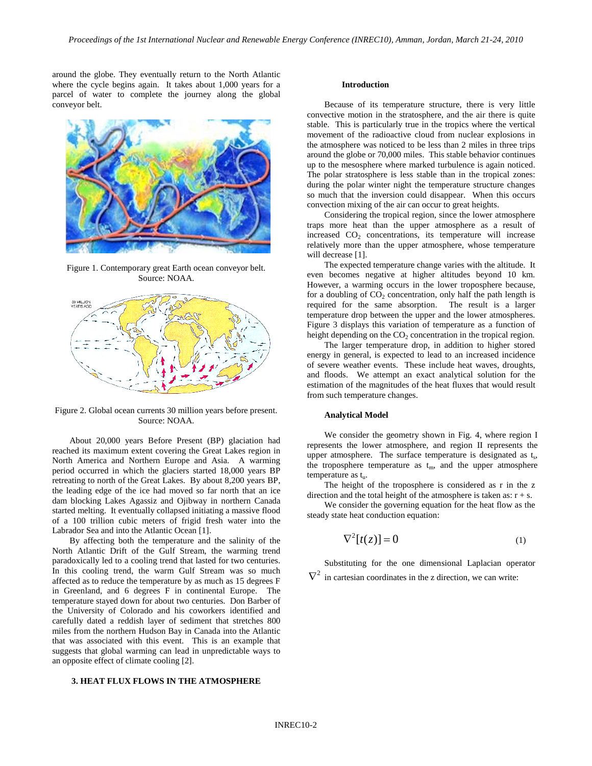around the globe. They eventually return to the North Atlantic where the cycle begins again. It takes about 1,000 years for a parcel of water to complete the journey along the global conveyor belt.



Figure 1. Contemporary great Earth ocean conveyor belt. Source: NOAA.



Figure 2. Global ocean currents 30 million years before present. Source: NOAA.

About 20,000 years Before Present (BP) glaciation had reached its maximum extent covering the Great Lakes region in North America and Northern Europe and Asia. A warming period occurred in which the glaciers started 18,000 years BP retreating to north of the Great Lakes. By about 8,200 years BP, the leading edge of the ice had moved so far north that an ice dam blocking Lakes Agassiz and Ojibway in northern Canada started melting. It eventually collapsed initiating a massive flood of a 100 trillion cubic meters of frigid fresh water into the Labrador Sea and into the Atlantic Ocean [1].

By affecting both the temperature and the salinity of the North Atlantic Drift of the Gulf Stream, the warming trend paradoxically led to a cooling trend that lasted for two centuries. In this cooling trend, the warm Gulf Stream was so much affected as to reduce the temperature by as much as 15 degrees F in Greenland, and 6 degrees F in continental Europe. The temperature stayed down for about two centuries. Don Barber of the University of Colorado and his coworkers identified and carefully dated a reddish layer of sediment that stretches 800 miles from the northern Hudson Bay in Canada into the Atlantic that was associated with this event. This is an example that suggests that global warming can lead in unpredictable ways to an opposite effect of climate cooling [2].

## **3. HEAT FLUX FLOWS IN THE ATMOSPHERE**

#### **Introduction**

Because of its temperature structure, there is very little convective motion in the stratosphere, and the air there is quite stable. This is particularly true in the tropics where the vertical movement of the radioactive cloud from nuclear explosions in the atmosphere was noticed to be less than 2 miles in three trips around the globe or 70,000 miles. This stable behavior continues up to the mesosphere where marked turbulence is again noticed. The polar stratosphere is less stable than in the tropical zones: during the polar winter night the temperature structure changes so much that the inversion could disappear. When this occurs convection mixing of the air can occur to great heights.

Considering the tropical region, since the lower atmosphere traps more heat than the upper atmosphere as a result of increased  $CO<sub>2</sub>$  concentrations, its temperature will increase relatively more than the upper atmosphere, whose temperature will decrease [1].

The expected temperature change varies with the altitude. It even becomes negative at higher altitudes beyond 10 km. However, a warming occurs in the lower troposphere because, for a doubling of  $CO<sub>2</sub>$  concentration, only half the path length is required for the same absorption. The result is a larger temperature drop between the upper and the lower atmospheres. Figure 3 displays this variation of temperature as a function of height depending on the  $CO<sub>2</sub>$  concentration in the tropical region.

The larger temperature drop, in addition to higher stored energy in general, is expected to lead to an increased incidence of severe weather events. These include heat waves, droughts, and floods. We attempt an exact analytical solution for the estimation of the magnitudes of the heat fluxes that would result from such temperature changes.

### **Analytical Model**

We consider the geometry shown in Fig. 4, where region I represents the lower atmosphere, and region II represents the upper atmosphere. The surface temperature is designated as  $t_s$ , the troposphere temperature as  $t_m$ , and the upper atmosphere temperature as t...

The height of the troposphere is considered as r in the z direction and the total height of the atmosphere is taken as:  $r + s$ .

We consider the governing equation for the heat flow as the steady state heat conduction equation:

$$
\nabla^2[t(z)] = 0 \tag{1}
$$

Substituting for the one dimensional Laplacian operator  $\nabla^2$  in cartesian coordinates in the z direction, we can write: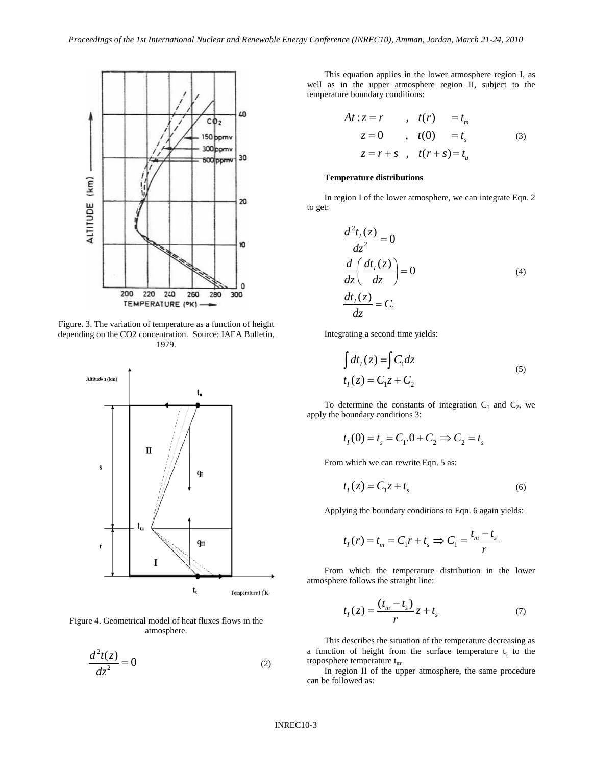

Figure. 3. The variation of temperature as a function of height depending on the CO2 concentration. Source: IAEA Bulletin, 1979.



Figure 4. Geometrical model of heat fluxes flows in the atmosphere.

$$
\frac{d^2t(z)}{dz^2} = 0\tag{2}
$$

This equation applies in the lower atmosphere region I, as well as in the upper atmosphere region II, subject to the temperature boundary conditions:

$$
At: z = r \qquad , \quad t(r) = t_m
$$
  
\n
$$
z = 0 \qquad , \quad t(0) = t_s \qquad (3)
$$
  
\n
$$
z = r + s \qquad , \quad t(r + s) = t_u
$$

#### **Temperature distributions**

In region I of the lower atmosphere, we can integrate Eqn. 2 to get:

$$
\frac{d^2t_1(z)}{dz^2} = 0
$$
  

$$
\frac{d}{dz} \left( \frac{dt_1(z)}{dz} \right) = 0
$$
  

$$
\frac{dt_1(z)}{dz} = C_1
$$
 (4)

Integrating a second time yields:

$$
\int dt_1(z) = \int C_1 dz
$$
  
\n
$$
t_1(z) = C_1 z + C_2
$$
\n(5)

To determine the constants of integration  $C_1$  and  $C_2$ , we apply the boundary conditions 3:

$$
t_1(0) = t_s = C_1 \cdot 0 + C_2 \implies C_2 = t_s
$$

From which we can rewrite Eqn. 5 as:

$$
t_1(z) = C_1 z + t_s \tag{6}
$$

Applying the boundary conditions to Eqn. 6 again yields:

$$
t_1(r) = t_m = C_1r + t_s \Rightarrow C_1 = \frac{t_m - t_s}{r}
$$

From which the temperature distribution in the lower atmosphere follows the straight line:

$$
t_1(z) = \frac{(t_m - t_s)}{r} z + t_s \tag{7}
$$

This describes the situation of the temperature decreasing as a function of height from the surface temperature  $t_s$  to the troposphere temperature  $t_m$ .

In region II of the upper atmosphere, the same procedure can be followed as: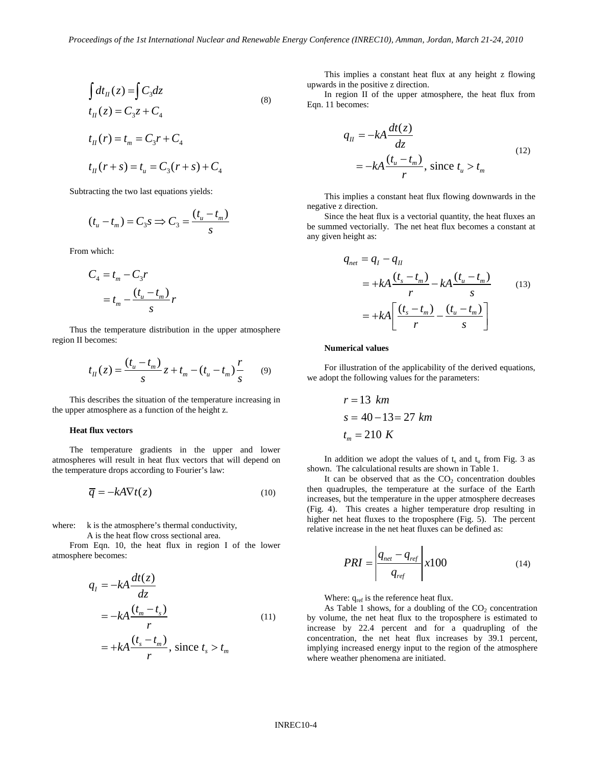$$
\int dt_H(z) = \int C_3 dz
$$
  
\n
$$
t_H(z) = C_3 z + C_4
$$
  
\n
$$
t_H(r) = t_m = C_3 r + C_4
$$
 (8)

 $t_{II}(r+s) = t_{II} = C_3(r+s) + C_4$ 

Subtracting the two last equations yields:

$$
(t_u - t_m) = C_3 s \Rightarrow C_3 = \frac{(t_u - t_m)}{s}
$$

From which:

$$
C_4 = t_m - C_3 r
$$
  
= 
$$
t_m - \frac{(t_u - t_m)}{s} r
$$

Thus the temperature distribution in the upper atmosphere region II becomes:

$$
t_{II}(z) = \frac{(t_u - t_m)}{s} z + t_m - (t_u - t_m) \frac{r}{s}
$$
(9)

This describes the situation of the temperature increasing in the upper atmosphere as a function of the height z.

## **Heat flux vectors**

The temperature gradients in the upper and lower atmospheres will result in heat flux vectors that will depend on the temperature drops according to Fourier's law:

$$
\overline{q} = -kA\nabla t(z) \tag{10}
$$

where: k is the atmosphere's thermal conductivity,

A is the heat flow cross sectional area.

From Eqn. 10, the heat flux in region I of the lower atmosphere becomes:

$$
q_{I} = -kA \frac{dt(z)}{dz}
$$
  
=  $-kA \frac{(t_{m} - t_{s})}{r}$   
=  $+kA \frac{(t_{s} - t_{m})}{r}$ , since  $t_{s} > t_{m}$  (11)

This implies a constant heat flux at any height z flowing upwards in the positive z direction.

In region II of the upper atmosphere, the heat flux from Eqn. 11 becomes:

$$
q_{II} = -kA \frac{dt(z)}{dz}
$$
  
=  $-kA \frac{(t_u - t_m)}{r}$ , since  $t_u > t_m$  (12)

This implies a constant heat flux flowing downwards in the negative z direction.

Since the heat flux is a vectorial quantity, the heat fluxes an be summed vectorially. The net heat flux becomes a constant at any given height as:

$$
q_{net} = q_I - q_{II}
$$
  
= +kA  $\frac{(t_s - t_m)}{r}$  - kA  $\frac{(t_u - t_m)}{s}$  (13)  
= +kA  $\left[ \frac{(t_s - t_m)}{r} - \frac{(t_u - t_m)}{s} \right]$ 

#### **Numerical values**

For illustration of the applicability of the derived equations, we adopt the following values for the parameters:

$$
r = 13 km
$$
  
\n
$$
s = 40 - 13 = 27 km
$$
  
\n
$$
t_m = 210 K
$$

In addition we adopt the values of  $t_s$  and  $t_u$  from Fig. 3 as shown. The calculational results are shown in Table 1.

It can be observed that as the  $CO<sub>2</sub>$  concentration doubles then quadruples, the temperature at the surface of the Earth increases, but the temperature in the upper atmosphere decreases (Fig. 4). This creates a higher temperature drop resulting in higher net heat fluxes to the troposphere (Fig. 5). The percent relative increase in the net heat fluxes can be defined as:

$$
PRI = \left| \frac{q_{net} - q_{ref}}{q_{ref}} \right| x100 \tag{14}
$$

Where:  $q_{ref}$  is the reference heat flux.

As Table 1 shows, for a doubling of the  $CO<sub>2</sub>$  concentration by volume, the net heat flux to the troposphere is estimated to increase by 22.4 percent and for a quadrupling of the concentration, the net heat flux increases by 39.1 percent, implying increased energy input to the region of the atmosphere where weather phenomena are initiated.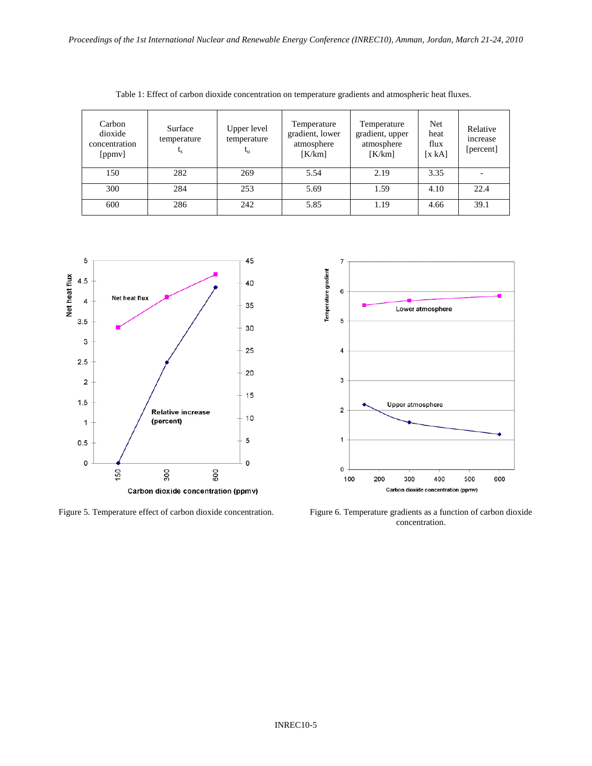| Carbon<br>dioxide<br>concentration<br>[ppmv] | Surface<br>temperature<br>$L_{S}$ | Upper level<br>temperature<br>$t_{\rm n}$ | Temperature<br>gradient, lower<br>atmosphere<br>[K/km] | Temperature<br>gradient, upper<br>atmosphere<br>K/km | Net<br>heat<br>flux<br>[x kA] | Relative<br>increase<br>[percent] |
|----------------------------------------------|-----------------------------------|-------------------------------------------|--------------------------------------------------------|------------------------------------------------------|-------------------------------|-----------------------------------|
| 150                                          | 282                               | 269                                       | 5.54                                                   | 2.19                                                 | 3.35                          |                                   |
| 300                                          | 284                               | 253                                       | 5.69                                                   | 1.59                                                 | 4.10                          | 22.4                              |
| 600                                          | 286                               | 242                                       | 5.85                                                   | 1.19                                                 | 4.66                          | 39.1                              |

Table 1: Effect of carbon dioxide concentration on temperature gradients and atmospheric heat fluxes.



Figure 5. Temperature effect of carbon dioxide concentration. Figure 6. Temperature gradients as a function of carbon dioxide



concentration.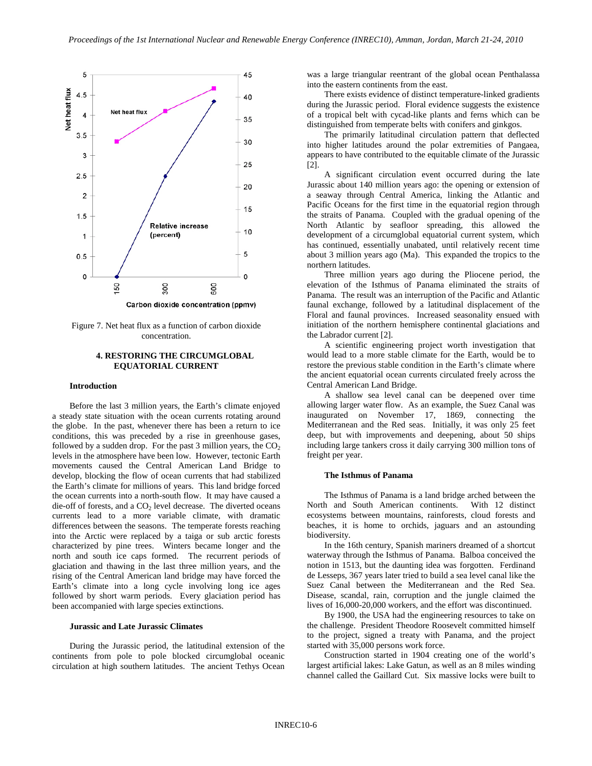

Figure 7. Net heat flux as a function of carbon dioxide concentration.

# **4. RESTORING THE CIRCUMGLOBAL EQUATORIAL CURRENT**

## **Introduction**

Before the last 3 million years, the Earth's climate enjoyed a steady state situation with the ocean currents rotating around the globe. In the past, whenever there has been a return to ice conditions, this was preceded by a rise in greenhouse gases, followed by a sudden drop. For the past 3 million years, the  $CO<sub>2</sub>$ levels in the atmosphere have been low. However, tectonic Earth movements caused the Central American Land Bridge to develop, blocking the flow of ocean currents that had stabilized the Earth's climate for millions of years. This land bridge forced the ocean currents into a north-south flow. It may have caused a die-off of forests, and a  $CO<sub>2</sub>$  level decrease. The diverted oceans currents lead to a more variable climate, with dramatic differences between the seasons. The temperate forests reaching into the Arctic were replaced by a taiga or sub arctic forests characterized by pine trees. Winters became longer and the north and south ice caps formed. The recurrent periods of glaciation and thawing in the last three million years, and the rising of the Central American land bridge may have forced the Earth's climate into a long cycle involving long ice ages followed by short warm periods. Every glaciation period has been accompanied with large species extinctions.

#### **Jurassic and Late Jurassic Climates**

During the Jurassic period, the latitudinal extension of the continents from pole to pole blocked circumglobal oceanic circulation at high southern latitudes. The ancient Tethys Ocean was a large triangular reentrant of the global ocean Penthalassa into the eastern continents from the east.

There exists evidence of distinct temperature-linked gradients during the Jurassic period. Floral evidence suggests the existence of a tropical belt with cycad-like plants and ferns which can be distinguished from temperate belts with conifers and ginkgos.

The primarily latitudinal circulation pattern that deflected into higher latitudes around the polar extremities of Pangaea, appears to have contributed to the equitable climate of the Jurassic [2].

A significant circulation event occurred during the late Jurassic about 140 million years ago: the opening or extension of a seaway through Central America, linking the Atlantic and Pacific Oceans for the first time in the equatorial region through the straits of Panama. Coupled with the gradual opening of the North Atlantic by seafloor spreading, this allowed the development of a circumglobal equatorial current system, which has continued, essentially unabated, until relatively recent time about 3 million years ago (Ma). This expanded the tropics to the northern latitudes.

Three million years ago during the Pliocene period, the elevation of the Isthmus of Panama eliminated the straits of Panama. The result was an interruption of the Pacific and Atlantic faunal exchange, followed by a latitudinal displacement of the Floral and faunal provinces. Increased seasonality ensued with initiation of the northern hemisphere continental glaciations and the Labrador current [2].

A scientific engineering project worth investigation that would lead to a more stable climate for the Earth, would be to restore the previous stable condition in the Earth's climate where the ancient equatorial ocean currents circulated freely across the Central American Land Bridge.

A shallow sea level canal can be deepened over time allowing larger water flow. As an example, the Suez Canal was inaugurated on November 17, 1869, connecting the Mediterranean and the Red seas. Initially, it was only 25 feet deep, but with improvements and deepening, about 50 ships including large tankers cross it daily carrying 300 million tons of freight per year.

#### **The Isthmus of Panama**

The Isthmus of Panama is a land bridge arched between the North and South American continents. With 12 distinct ecosystems between mountains, rainforests, cloud forests and beaches, it is home to orchids, jaguars and an astounding biodiversity.

In the 16th century, Spanish mariners dreamed of a shortcut waterway through the Isthmus of Panama. Balboa conceived the notion in 1513, but the daunting idea was forgotten. Ferdinand de Lesseps, 367 years later tried to build a sea level canal like the Suez Canal between the Mediterranean and the Red Sea. Disease, scandal, rain, corruption and the jungle claimed the lives of 16,000-20,000 workers, and the effort was discontinued.

By 1900, the USA had the engineering resources to take on the challenge. President Theodore Roosevelt committed himself to the project, signed a treaty with Panama, and the project started with 35,000 persons work force.

Construction started in 1904 creating one of the world's largest artificial lakes: Lake Gatun, as well as an 8 miles winding channel called the Gaillard Cut. Six massive locks were built to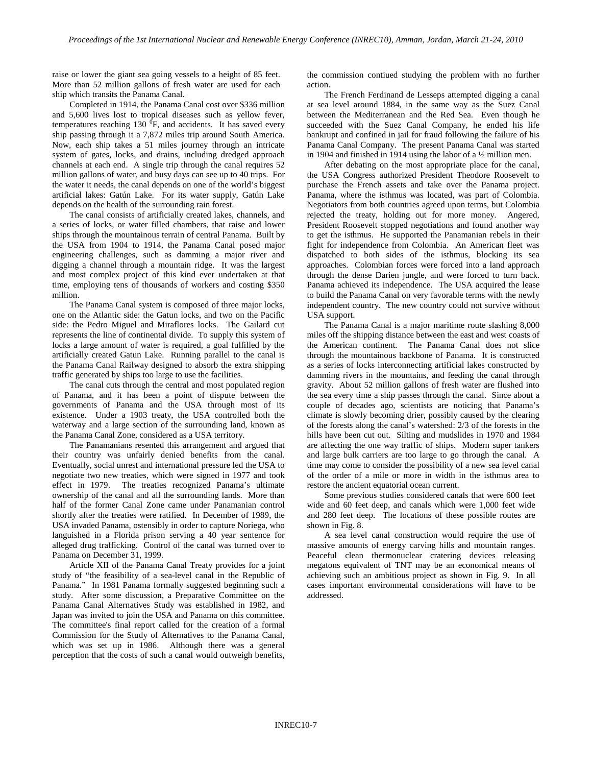raise or lower the giant sea going vessels to a height of 85 feet. More than 52 million gallons of fresh water are used for each ship which transits the Panama Canal.

Completed in 1914, the Panama Canal cost over \$336 million and 5,600 lives lost to tropical diseases such as yellow fever, temperatures reaching 130  ${}^{0}F$ , and accidents. It has saved every ship passing through it a 7,872 miles trip around South America. Now, each ship takes a 51 miles journey through an intricate system of gates, locks, and drains, including dredged approach channels at each end. A single trip through the canal requires 52 million gallons of water, and busy days can see up to 40 trips. For the water it needs, the canal depends on one of the world's biggest artificial lakes: Gatún Lake. For its water supply, Gatún Lake depends on the health of the surrounding rain forest.

The canal consists of artificially created lakes, channels, and a series of locks, or water filled chambers, that raise and lower ships through the mountainous terrain of central Panama. Built by the USA from 1904 to 1914, the Panama Canal posed major engineering challenges, such as damming a major river and digging a channel through a mountain ridge. It was the largest and most complex project of this kind ever undertaken at that time, employing tens of thousands of workers and costing \$350 million.

The Panama Canal system is composed of three major locks, one on the Atlantic side: the Gatun locks, and two on the Pacific side: the Pedro Miguel and Miraflores locks. The Gailard cut represents the line of continental divide. To supply this system of locks a large amount of water is required, a goal fulfilled by the artificially created Gatun Lake. Running parallel to the canal is the Panama Canal Railway designed to absorb the extra shipping traffic generated by ships too large to use the facilities.

The canal cuts through the central and most populated region of Panama, and it has been a point of dispute between the governments of Panama and the USA through most of its existence. Under a 1903 treaty, the USA controlled both the waterway and a large section of the surrounding land, known as the Panama Canal Zone, considered as a USA territory.

The Panamanians resented this arrangement and argued that their country was unfairly denied benefits from the canal. Eventually, social unrest and international pressure led the USA to negotiate two new treaties, which were signed in 1977 and took effect in 1979. The treaties recognized Panama's ultimate ownership of the canal and all the surrounding lands. More than half of the former Canal Zone came under Panamanian control shortly after the treaties were ratified. In December of 1989, the USA invaded Panama, ostensibly in order to capture Noriega, who languished in a Florida prison serving a 40 year sentence for alleged drug trafficking. Control of the canal was turned over to Panama on December 31, 1999.

Article XII of the Panama Canal Treaty provides for a joint study of "the feasibility of a sea-level canal in the Republic of Panama." In 1981 Panama formally suggested beginning such a study. After some discussion, a Preparative Committee on the Panama Canal Alternatives Study was established in 1982, and Japan was invited to join the USA and Panama on this committee. The committee's final report called for the creation of a formal Commission for the Study of Alternatives to the Panama Canal, which was set up in 1986. Although there was a general perception that the costs of such a canal would outweigh benefits, the commission contiued studying the problem with no further action.

The French Ferdinand de Lesseps attempted digging a canal at sea level around 1884, in the same way as the Suez Canal between the Mediterranean and the Red Sea. Even though he succeeded with the Suez Canal Company, he ended his life bankrupt and confined in jail for fraud following the failure of his Panama Canal Company. The present Panama Canal was started in 1904 and finished in 1914 using the labor of a ½ million men.

After debating on the most appropriate place for the canal, the USA Congress authorized President Theodore Roosevelt to purchase the French assets and take over the Panama project. Panama, where the isthmus was located, was part of Colombia. Negotiators from both countries agreed upon terms, but Colombia rejected the treaty, holding out for more money. Angered, President Roosevelt stopped negotiations and found another way to get the isthmus. He supported the Panamanian rebels in their fight for independence from Colombia. An American fleet was dispatched to both sides of the isthmus, blocking its sea approaches. Colombian forces were forced into a land approach through the dense Darien jungle, and were forced to turn back. Panama achieved its independence. The USA acquired the lease to build the Panama Canal on very favorable terms with the newly independent country. The new country could not survive without USA support.

The Panama Canal is a major maritime route slashing 8,000 miles off the shipping distance between the east and west coasts of the American continent. The Panama Canal does not slice through the mountainous backbone of Panama. It is constructed as a series of locks interconnecting artificial lakes constructed by damming rivers in the mountains, and feeding the canal through gravity. About 52 million gallons of fresh water are flushed into the sea every time a ship passes through the canal. Since about a couple of decades ago, scientists are noticing that Panama's climate is slowly becoming drier, possibly caused by the clearing of the forests along the canal's watershed: 2/3 of the forests in the hills have been cut out. Silting and mudslides in 1970 and 1984 are affecting the one way traffic of ships. Modern super tankers and large bulk carriers are too large to go through the canal. A time may come to consider the possibility of a new sea level canal of the order of a mile or more in width in the isthmus area to restore the ancient equatorial ocean current.

Some previous studies considered canals that were 600 feet wide and 60 feet deep, and canals which were 1,000 feet wide and 280 feet deep. The locations of these possible routes are shown in Fig. 8.

A sea level canal construction would require the use of massive amounts of energy carving hills and mountain ranges. Peaceful clean thermonuclear cratering devices releasing megatons equivalent of TNT may be an economical means of achieving such an ambitious project as shown in Fig. 9. In all cases important environmental considerations will have to be addressed.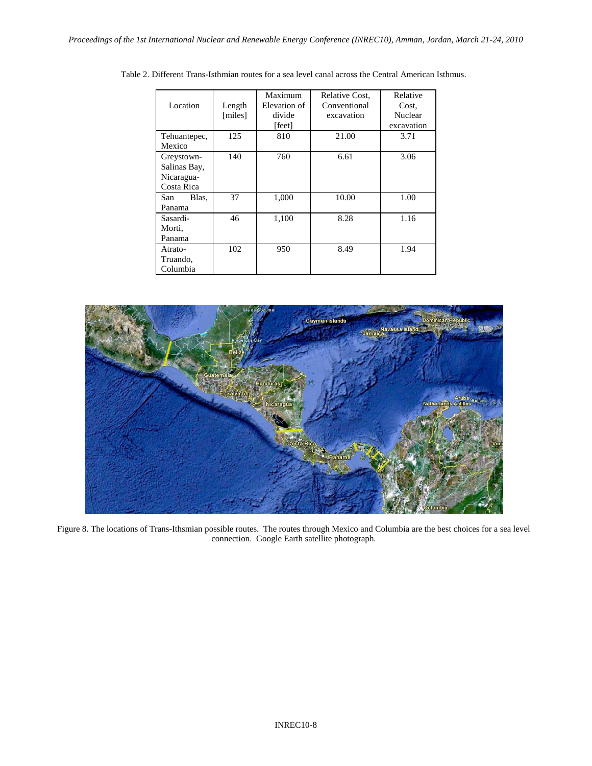|              |         | Maximum              | Relative Cost, | Relative   |  |
|--------------|---------|----------------------|----------------|------------|--|
| Location     | Length  | Elevation of         | Conventional   | Cost.      |  |
|              | [miles] | divide<br>excavation |                | Nuclear    |  |
|              |         | [feet]               |                | excavation |  |
| Tehuantepec, | 125     | 810                  | 21.00          | 3.71       |  |
| Mexico       |         |                      |                |            |  |
| Greystown-   | 140     | 760                  | 6.61           | 3.06       |  |
| Salinas Bay, |         |                      |                |            |  |
| Nicaragua-   |         |                      |                |            |  |
| Costa Rica   |         |                      |                |            |  |
| Blas.<br>San | 37      | 1,000                | 10.00          | 1.00       |  |
| Panama       |         |                      |                |            |  |
| Sasardi-     | 46      | 1,100                | 8.28           | 1.16       |  |
| Morti,       |         |                      |                |            |  |
| Panama       |         |                      |                |            |  |
| Atrato-      | 102     | 950                  | 8.49           | 1.94       |  |
| Truando,     |         |                      |                |            |  |
| Columbia     |         |                      |                |            |  |

Table 2. Different Trans-Isthmian routes for a sea level canal across the Central American Isthmus.



Figure 8. The locations of Trans-Ithsmian possible routes. The routes through Mexico and Columbia are the best choices for a sea level connection. Google Earth satellite photograph.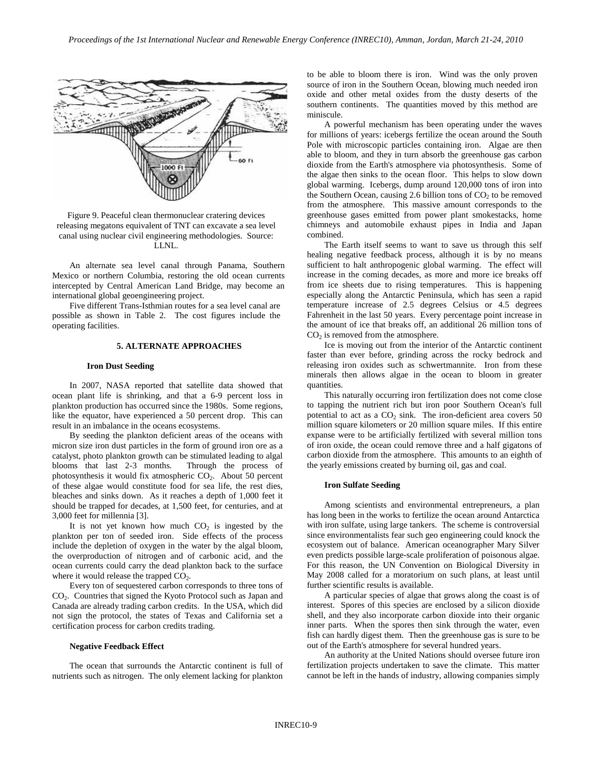

Figure 9. Peaceful clean thermonuclear cratering devices releasing megatons equivalent of TNT can excavate a sea level canal using nuclear civil engineering methodologies. Source: LLNL.

An alternate sea level canal through Panama, Southern Mexico or northern Columbia, restoring the old ocean currents intercepted by Central American Land Bridge, may become an international global geoengineering project.

Five different Trans-Isthmian routes for a sea level canal are possible as shown in Table 2. The cost figures include the operating facilities.

## **5. ALTERNATE APPROACHES**

#### **Iron Dust Seeding**

In 2007, NASA reported that satellite data showed that ocean plant life is shrinking, and that a 6-9 percent loss in plankton production has occurred since the 1980s. Some regions, like the equator, have experienced a 50 percent drop. This can result in an imbalance in the oceans ecosystems.

By seeding the plankton deficient areas of the oceans with micron size iron dust particles in the form of ground iron ore as a catalyst, photo plankton growth can be stimulated leading to algal blooms that last 2-3 months. Through the process of photosynthesis it would fix atmospheric CO<sub>2</sub>. About 50 percent of these algae would constitute food for sea life, the rest dies, bleaches and sinks down. As it reaches a depth of 1,000 feet it should be trapped for decades, at 1,500 feet, for centuries, and at 3,000 feet for millennia [3].

It is not yet known how much  $CO<sub>2</sub>$  is ingested by the plankton per ton of seeded iron. Side effects of the process include the depletion of oxygen in the water by the algal bloom, the overproduction of nitrogen and of carbonic acid, and the ocean currents could carry the dead plankton back to the surface where it would release the trapped  $CO<sub>2</sub>$ .

Every ton of sequestered carbon corresponds to three tons of CO2. Countries that signed the Kyoto Protocol such as Japan and Canada are already trading carbon credits. In the USA, which did not sign the protocol, the states of Texas and California set a certification process for carbon credits trading.

#### **Negative Feedback Effect**

The ocean that surrounds the Antarctic continent is full of nutrients such as nitrogen. The only element lacking for plankton to be able to bloom there is iron. Wind was the only proven source of iron in the Southern Ocean, blowing much needed iron oxide and other metal oxides from the dusty deserts of the southern continents. The quantities moved by this method are miniscule.

A powerful mechanism has been operating under the waves for millions of years: icebergs fertilize the ocean around the South Pole with microscopic particles containing iron. Algae are then able to bloom, and they in turn absorb the greenhouse gas carbon dioxide from the Earth's atmosphere via photosynthesis. Some of the algae then sinks to the ocean floor. This helps to slow down global warming. Icebergs, dump around 120,000 tons of iron into the Southern Ocean, causing 2.6 billion tons of  $CO<sub>2</sub>$  to be removed from the atmosphere. This massive amount corresponds to the greenhouse gases emitted from power plant smokestacks, home chimneys and automobile exhaust pipes in India and Japan combined.

The Earth itself seems to want to save us through this self healing negative feedback process, although it is by no means sufficient to halt anthropogenic global warming. The effect will increase in the coming decades, as more and more ice breaks off from ice sheets due to rising temperatures. This is happening especially along the Antarctic Peninsula, which has seen a rapid temperature increase of 2.5 degrees Celsius or 4.5 degrees Fahrenheit in the last 50 years. Every percentage point increase in the amount of ice that breaks off, an additional 26 million tons of  $CO<sub>2</sub>$  is removed from the atmosphere.

Ice is moving out from the interior of the Antarctic continent faster than ever before, grinding across the rocky bedrock and releasing iron oxides such as schwertmannite. Iron from these minerals then allows algae in the ocean to bloom in greater quantities.

This naturally occurring iron fertilization does not come close to tapping the nutrient rich but iron poor Southern Ocean's full potential to act as a  $CO<sub>2</sub>$  sink. The iron-deficient area covers 50 million square kilometers or 20 million square miles. If this entire expanse were to be artificially fertilized with several million tons of iron oxide, the ocean could remove three and a half gigatons of carbon dioxide from the atmosphere. This amounts to an eighth of the yearly emissions created by burning oil, gas and coal.

#### **Iron Sulfate Seeding**

Among scientists and environmental entrepreneurs, a plan has long been in the works to fertilize the ocean around Antarctica with iron sulfate, using large tankers. The scheme is controversial since environmentalists fear such geo engineering could knock the ecosystem out of balance. American oceanographer Mary Silver even predicts possible large-scale proliferation of poisonous algae. For this reason, the UN Convention on Biological Diversity in May 2008 called for a moratorium on such plans, at least until further scientific results is available.

A particular species of algae that grows along the coast is of interest. Spores of this species are enclosed by a silicon dioxide shell, and they also incorporate carbon dioxide into their organic inner parts. When the spores then sink through the water, even fish can hardly digest them. Then the greenhouse gas is sure to be out of the Earth's atmosphere for several hundred years.

An authority at the United Nations should oversee future iron fertilization projects undertaken to save the climate. This matter cannot be left in the hands of industry, allowing companies simply